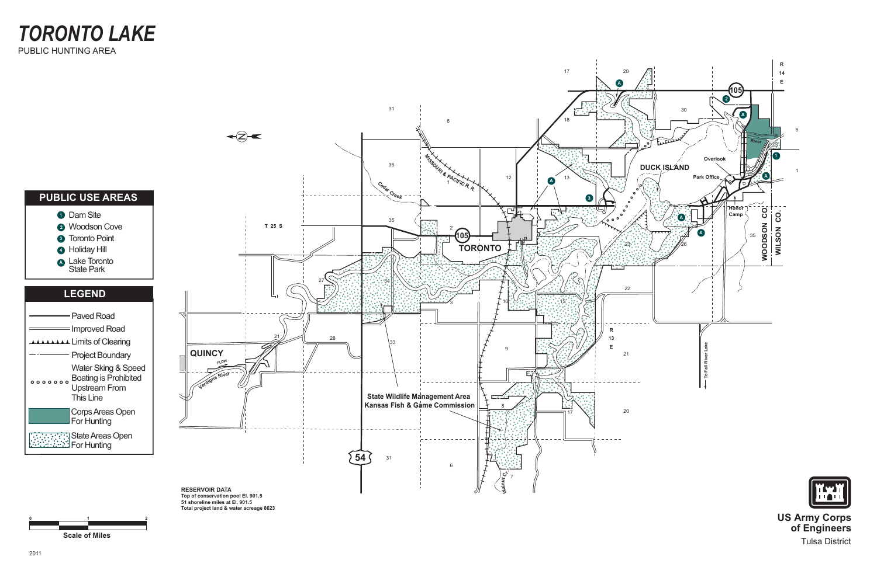

**Scale of Miles**

**0**



**1**

**2**

**US Army Corps of Engineers** Tulsa District

*TORONTO LAKE* PUBLIC HUNTING AREA